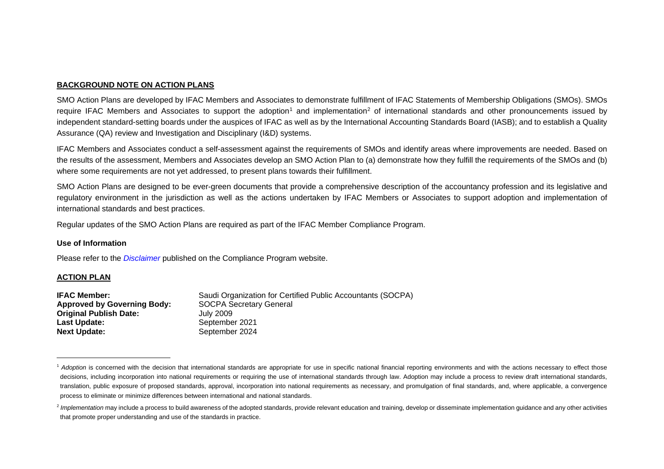## <span id="page-0-1"></span><span id="page-0-0"></span>**BACKGROUND NOTE ON ACTION PLANS**

SMO Action Plans are developed by IFAC Members and Associates to demonstrate fulfillment of IFAC Statements of Membership Obligations (SMOs). SMOs require IFAC Members and Associates to support the adoption<sup>[1](#page-0-0)</sup> and implementation<sup>[2](#page-0-1)</sup> of international standards and other pronouncements issued by independent standard-setting boards under the auspices of IFAC as well as by the International Accounting Standards Board (IASB); and to establish a Quality Assurance (QA) review and Investigation and Disciplinary (I&D) systems.

IFAC Members and Associates conduct a self-assessment against the requirements of SMOs and identify areas where improvements are needed. Based on the results of the assessment, Members and Associates develop an SMO Action Plan to (a) demonstrate how they fulfill the requirements of the SMOs and (b) where some requirements are not yet addressed, to present plans towards their fulfillment.

SMO Action Plans are designed to be ever-green documents that provide a comprehensive description of the accountancy profession and its legislative and regulatory environment in the jurisdiction as well as the actions undertaken by IFAC Members or Associates to support adoption and implementation of international standards and best practices.

Regular updates of the SMO Action Plans are required as part of the IFAC Member Compliance Program.

#### **Use of Information**

Please refer to the *[Disclaimer](http://www.ifac.org/about-ifac/membership/members/disclaimer)* published on the Compliance Program website.

#### **ACTION PLAN**

| <b>IFAC Member:</b>                | Saudi Organization for Certified Public Accountants (SOCPA) |
|------------------------------------|-------------------------------------------------------------|
| <b>Approved by Governing Body:</b> | <b>SOCPA Secretary General</b>                              |
| <b>Original Publish Date:</b>      | July 2009                                                   |
| Last Update:                       | September 2021                                              |
| <b>Next Update:</b>                | September 2024                                              |

<sup>&</sup>lt;sup>1</sup> Adoption is concerned with the decision that international standards are appropriate for use in specific national financial reporting environments and with the actions necessary to effect those decisions, including incorporation into national requirements or requiring the use of international standards through law. Adoption may include a process to review draft international standards, translation, public exposure of proposed standards, approval, incorporation into national requirements as necessary, and promulgation of final standards, and, where applicable, a convergence process to eliminate or minimize differences between international and national standards.

<sup>&</sup>lt;sup>2</sup> Implementation may include a process to build awareness of the adopted standards, provide relevant education and training, develop or disseminate implementation guidance and any other activities that promote proper understanding and use of the standards in practice.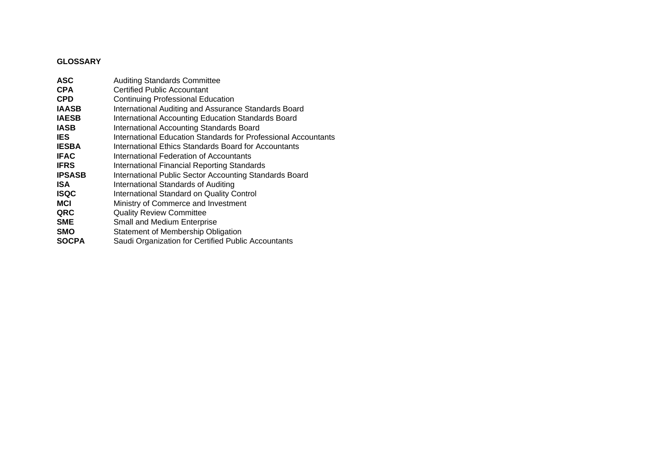# **GLOSSARY**

| <b>CPA</b><br>Certified Public Accountant<br><b>CPD</b><br><b>Continuing Professional Education</b><br>International Auditing and Assurance Standards Board<br>International Accounting Education Standards Board<br><b>IASB</b><br>International Accounting Standards Board<br>International Education Standards for Professional Accountants<br><b>IES</b><br><b>IESBA</b><br>International Ethics Standards Board for Accountants<br><b>IFAC</b><br>International Federation of Accountants<br><b>IFRS</b><br>International Financial Reporting Standards<br><b>IPSASB</b><br>International Public Sector Accounting Standards Board<br><b>ISA</b><br>International Standards of Auditing<br><b>ISQC</b><br>International Standard on Quality Control<br><b>MCI</b><br>Ministry of Commerce and Investment<br>QRC<br><b>Quality Review Committee</b><br><b>SME</b><br>Small and Medium Enterprise<br><b>SMO</b><br>Statement of Membership Obligation<br>Saudi Organization for Certified Public Accountants<br><b>SOCPA</b> | <b>ASC</b>   | <b>Auditing Standards Committee</b> |
|---------------------------------------------------------------------------------------------------------------------------------------------------------------------------------------------------------------------------------------------------------------------------------------------------------------------------------------------------------------------------------------------------------------------------------------------------------------------------------------------------------------------------------------------------------------------------------------------------------------------------------------------------------------------------------------------------------------------------------------------------------------------------------------------------------------------------------------------------------------------------------------------------------------------------------------------------------------------------------------------------------------------------------|--------------|-------------------------------------|
|                                                                                                                                                                                                                                                                                                                                                                                                                                                                                                                                                                                                                                                                                                                                                                                                                                                                                                                                                                                                                                 |              |                                     |
|                                                                                                                                                                                                                                                                                                                                                                                                                                                                                                                                                                                                                                                                                                                                                                                                                                                                                                                                                                                                                                 |              |                                     |
|                                                                                                                                                                                                                                                                                                                                                                                                                                                                                                                                                                                                                                                                                                                                                                                                                                                                                                                                                                                                                                 | <b>IAASB</b> |                                     |
|                                                                                                                                                                                                                                                                                                                                                                                                                                                                                                                                                                                                                                                                                                                                                                                                                                                                                                                                                                                                                                 | <b>IAESB</b> |                                     |
|                                                                                                                                                                                                                                                                                                                                                                                                                                                                                                                                                                                                                                                                                                                                                                                                                                                                                                                                                                                                                                 |              |                                     |
|                                                                                                                                                                                                                                                                                                                                                                                                                                                                                                                                                                                                                                                                                                                                                                                                                                                                                                                                                                                                                                 |              |                                     |
|                                                                                                                                                                                                                                                                                                                                                                                                                                                                                                                                                                                                                                                                                                                                                                                                                                                                                                                                                                                                                                 |              |                                     |
|                                                                                                                                                                                                                                                                                                                                                                                                                                                                                                                                                                                                                                                                                                                                                                                                                                                                                                                                                                                                                                 |              |                                     |
|                                                                                                                                                                                                                                                                                                                                                                                                                                                                                                                                                                                                                                                                                                                                                                                                                                                                                                                                                                                                                                 |              |                                     |
|                                                                                                                                                                                                                                                                                                                                                                                                                                                                                                                                                                                                                                                                                                                                                                                                                                                                                                                                                                                                                                 |              |                                     |
|                                                                                                                                                                                                                                                                                                                                                                                                                                                                                                                                                                                                                                                                                                                                                                                                                                                                                                                                                                                                                                 |              |                                     |
|                                                                                                                                                                                                                                                                                                                                                                                                                                                                                                                                                                                                                                                                                                                                                                                                                                                                                                                                                                                                                                 |              |                                     |
|                                                                                                                                                                                                                                                                                                                                                                                                                                                                                                                                                                                                                                                                                                                                                                                                                                                                                                                                                                                                                                 |              |                                     |
|                                                                                                                                                                                                                                                                                                                                                                                                                                                                                                                                                                                                                                                                                                                                                                                                                                                                                                                                                                                                                                 |              |                                     |
|                                                                                                                                                                                                                                                                                                                                                                                                                                                                                                                                                                                                                                                                                                                                                                                                                                                                                                                                                                                                                                 |              |                                     |
|                                                                                                                                                                                                                                                                                                                                                                                                                                                                                                                                                                                                                                                                                                                                                                                                                                                                                                                                                                                                                                 |              |                                     |
|                                                                                                                                                                                                                                                                                                                                                                                                                                                                                                                                                                                                                                                                                                                                                                                                                                                                                                                                                                                                                                 |              |                                     |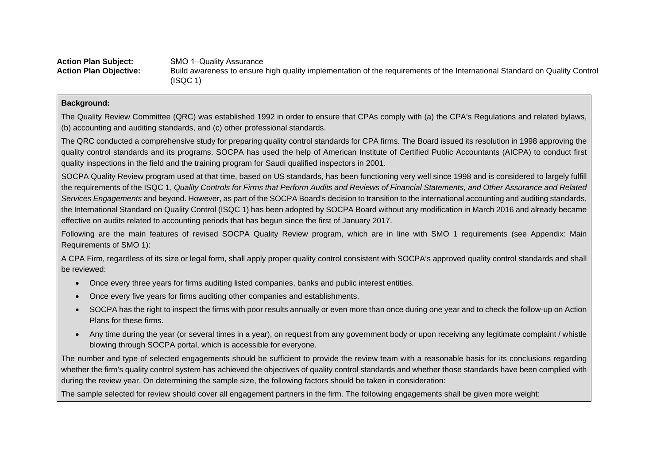Action Plan Subject: SMO 1-Quality Assurance **Action Plan Objective:** Build awareness to ensure high quality implementation of the requirements of the International Standard on Quality Control (ISQC 1)

## **Background:**

The Quality Review Committee (QRC) was established 1992 in order to ensure that CPAs comply with (a) the CPA's Regulations and related bylaws, (b) accounting and auditing standards, and (c) other professional standards.

The QRC conducted a comprehensive study for preparing quality control standards for CPA firms. The Board issued its resolution in 1998 approving the quality control standards and its programs. SOCPA has used the help of American Institute of Certified Public Accountants (AICPA) to conduct first quality inspections in the field and the training program for Saudi qualified inspectors in 2001.

SOCPA Quality Review program used at that time, based on US standards, has been functioning very well since 1998 and is considered to largely fulfill the requirements of the ISQC 1, *Quality Controls for Firms that Perform Audits and Reviews of Financial Statements, and Other Assurance and Related Services Engagements* and beyond. However, as part of the SOCPA Board's decision to transition to the international accounting and auditing standards, the International Standard on Quality Control (ISQC 1) has been adopted by SOCPA Board without any modification in March 2016 and already became effective on audits related to accounting periods that has begun since the first of January 2017.

Following are the main features of revised SOCPA Quality Review program, which are in line with SMO 1 requirements (see Appendix: Main Requirements of SMO 1):

A CPA Firm, regardless of its size or legal form, shall apply proper quality control consistent with SOCPA's approved quality control standards and shall be reviewed:

- Once every three years for firms auditing listed companies, banks and public interest entities.
- Once every five years for firms auditing other companies and establishments.
- SOCPA has the right to inspect the firms with poor results annually or even more than once during one year and to check the follow-up on Action Plans for these firms.
- Any time during the year (or several times in a year), on request from any government body or upon receiving any legitimate complaint / whistle blowing through SOCPA portal, which is accessible for everyone.

The number and type of selected engagements should be sufficient to provide the review team with a reasonable basis for its conclusions regarding whether the firm's quality control system has achieved the objectives of quality control standards and whether those standards have been complied with during the review year. On determining the sample size, the following factors should be taken in consideration:

The sample selected for review should cover all engagement partners in the firm. The following engagements shall be given more weight: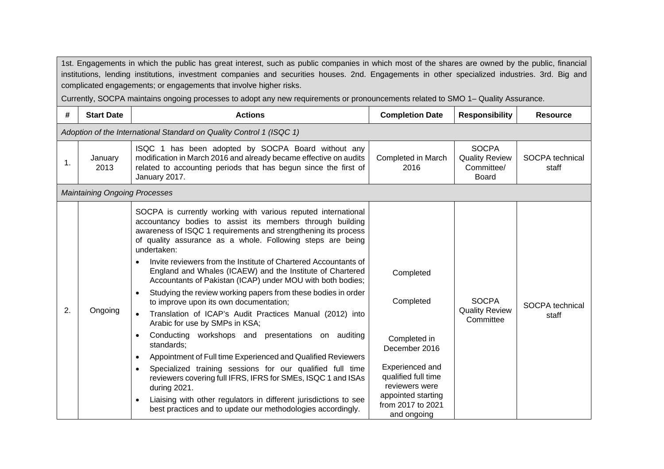1st. Engagements in which the public has great interest, such as public companies in which most of the shares are owned by the public, financial institutions, lending institutions, investment companies and securities houses. 2nd. Engagements in other specialized industries. 3rd. Big and complicated engagements; or engagements that involve higher risks.

Currently, SOCPA maintains ongoing processes to adopt any new requirements or pronouncements related to SMO 1– Quality Assurance.

| #  | <b>Start Date</b>                                                    | <b>Actions</b>                                                                                                                                                                                                                                                                                                                                                                                                                                                                                                                                                                                                                                                                                                                                                                                                                                                                                                                                                                                                                                                                                                                                                                     | <b>Completion Date</b>                                                                                                                                                        | <b>Responsibility</b>                                               | <b>Resource</b>          |  |  |
|----|----------------------------------------------------------------------|------------------------------------------------------------------------------------------------------------------------------------------------------------------------------------------------------------------------------------------------------------------------------------------------------------------------------------------------------------------------------------------------------------------------------------------------------------------------------------------------------------------------------------------------------------------------------------------------------------------------------------------------------------------------------------------------------------------------------------------------------------------------------------------------------------------------------------------------------------------------------------------------------------------------------------------------------------------------------------------------------------------------------------------------------------------------------------------------------------------------------------------------------------------------------------|-------------------------------------------------------------------------------------------------------------------------------------------------------------------------------|---------------------------------------------------------------------|--------------------------|--|--|
|    | Adoption of the International Standard on Quality Control 1 (ISQC 1) |                                                                                                                                                                                                                                                                                                                                                                                                                                                                                                                                                                                                                                                                                                                                                                                                                                                                                                                                                                                                                                                                                                                                                                                    |                                                                                                                                                                               |                                                                     |                          |  |  |
| 1. | January<br>2013                                                      | ISQC 1 has been adopted by SOCPA Board without any<br>modification in March 2016 and already became effective on audits<br>related to accounting periods that has begun since the first of<br>January 2017.                                                                                                                                                                                                                                                                                                                                                                                                                                                                                                                                                                                                                                                                                                                                                                                                                                                                                                                                                                        | Completed in March<br>2016                                                                                                                                                    | <b>SOCPA</b><br><b>Quality Review</b><br>Committee/<br><b>Board</b> | SOCPA technical<br>staff |  |  |
|    | <b>Maintaining Ongoing Processes</b>                                 |                                                                                                                                                                                                                                                                                                                                                                                                                                                                                                                                                                                                                                                                                                                                                                                                                                                                                                                                                                                                                                                                                                                                                                                    |                                                                                                                                                                               |                                                                     |                          |  |  |
| 2. | Ongoing                                                              | SOCPA is currently working with various reputed international<br>accountancy bodies to assist its members through building<br>awareness of ISQC 1 requirements and strengthening its process<br>of quality assurance as a whole. Following steps are being<br>undertaken:<br>Invite reviewers from the Institute of Chartered Accountants of<br>England and Whales (ICAEW) and the Institute of Chartered<br>Accountants of Pakistan (ICAP) under MOU with both bodies;<br>Studying the review working papers from these bodies in order<br>$\bullet$<br>to improve upon its own documentation;<br>Translation of ICAP's Audit Practices Manual (2012) into<br>$\bullet$<br>Arabic for use by SMPs in KSA;<br>Conducting workshops and presentations on auditing<br>$\bullet$<br>standards;<br>Appointment of Full time Experienced and Qualified Reviewers<br>$\bullet$<br>Specialized training sessions for our qualified full time<br>$\bullet$<br>reviewers covering full IFRS, IFRS for SMEs, ISQC 1 and ISAs<br>during 2021.<br>Liaising with other regulators in different jurisdictions to see<br>$\bullet$<br>best practices and to update our methodologies accordingly. | Completed<br>Completed<br>Completed in<br>December 2016<br>Experienced and<br>qualified full time<br>reviewers were<br>appointed starting<br>from 2017 to 2021<br>and ongoing | <b>SOCPA</b><br><b>Quality Review</b><br>Committee                  | SOCPA technical<br>staff |  |  |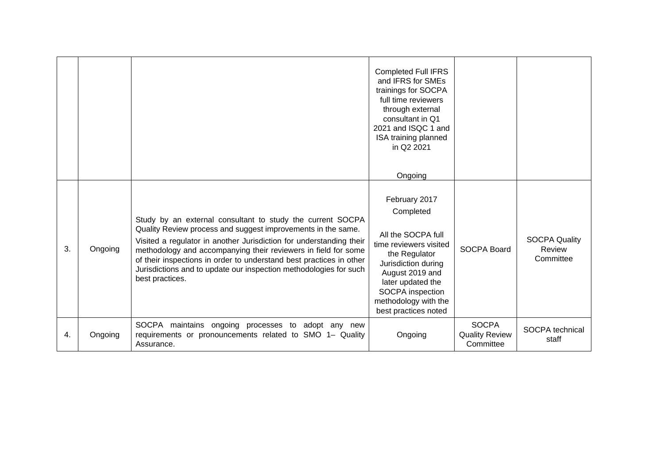|    |         |                                                                                                                                                                                                                                                                                                                                                                                                                                    | <b>Completed Full IFRS</b><br>and IFRS for SMEs<br>trainings for SOCPA<br>full time reviewers<br>through external<br>consultant in Q1<br>2021 and ISQC 1 and<br>ISA training planned<br>in Q2 2021<br>Ongoing                  |                                                    |                                             |
|----|---------|------------------------------------------------------------------------------------------------------------------------------------------------------------------------------------------------------------------------------------------------------------------------------------------------------------------------------------------------------------------------------------------------------------------------------------|--------------------------------------------------------------------------------------------------------------------------------------------------------------------------------------------------------------------------------|----------------------------------------------------|---------------------------------------------|
| 3. | Ongoing | Study by an external consultant to study the current SOCPA<br>Quality Review process and suggest improvements in the same.<br>Visited a regulator in another Jurisdiction for understanding their<br>methodology and accompanying their reviewers in field for some<br>of their inspections in order to understand best practices in other<br>Jurisdictions and to update our inspection methodologies for such<br>best practices. | February 2017<br>Completed<br>All the SOCPA full<br>time reviewers visited<br>the Regulator<br>Jurisdiction during<br>August 2019 and<br>later updated the<br>SOCPA inspection<br>methodology with the<br>best practices noted | <b>SOCPA Board</b>                                 | <b>SOCPA Quality</b><br>Review<br>Committee |
| 4. | Ongoing | SOCPA maintains ongoing processes to<br>adopt any<br>new<br>requirements or pronouncements related to SMO 1- Quality<br>Assurance.                                                                                                                                                                                                                                                                                                 | Ongoing                                                                                                                                                                                                                        | <b>SOCPA</b><br><b>Quality Review</b><br>Committee | SOCPA technical<br>staff                    |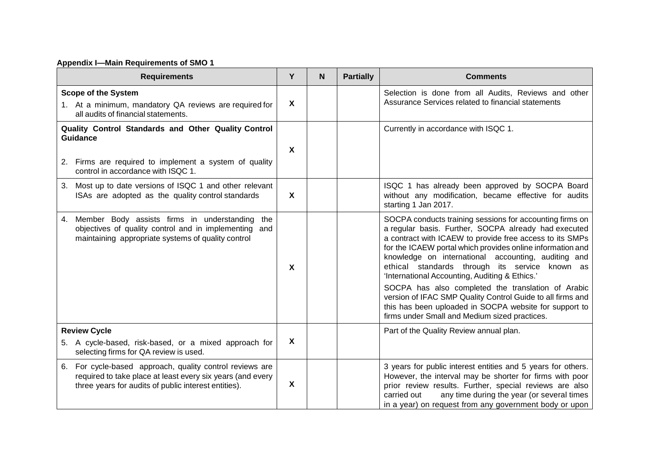# **Appendix I—Main Requirements of SMO 1**

| <b>Requirements</b>                                                                                                                                                               | Y                         | <b>N</b> | <b>Partially</b> | <b>Comments</b>                                                                                                                                                                                                                                                                                                                                                                                                                                                                                                                                                                                                                         |
|-----------------------------------------------------------------------------------------------------------------------------------------------------------------------------------|---------------------------|----------|------------------|-----------------------------------------------------------------------------------------------------------------------------------------------------------------------------------------------------------------------------------------------------------------------------------------------------------------------------------------------------------------------------------------------------------------------------------------------------------------------------------------------------------------------------------------------------------------------------------------------------------------------------------------|
| <b>Scope of the System</b><br>1. At a minimum, mandatory QA reviews are required for<br>all audits of financial statements.                                                       | $\mathbf{x}$              |          |                  | Selection is done from all Audits, Reviews and other<br>Assurance Services related to financial statements                                                                                                                                                                                                                                                                                                                                                                                                                                                                                                                              |
| Quality Control Standards and Other Quality Control<br><b>Guidance</b><br>2. Firms are required to implement a system of quality<br>control in accordance with ISQC 1.            |                           |          |                  | Currently in accordance with ISQC 1.                                                                                                                                                                                                                                                                                                                                                                                                                                                                                                                                                                                                    |
| 3. Most up to date versions of ISQC 1 and other relevant<br>ISAs are adopted as the quality control standards                                                                     | $\mathbf{x}$              |          |                  | ISQC 1 has already been approved by SOCPA Board<br>without any modification, became effective for audits<br>starting 1 Jan 2017.                                                                                                                                                                                                                                                                                                                                                                                                                                                                                                        |
| 4. Member Body assists firms in understanding<br>the<br>objectives of quality control and in implementing and<br>maintaining appropriate systems of quality control               | $\boldsymbol{\mathsf{X}}$ |          |                  | SOCPA conducts training sessions for accounting firms on<br>a regular basis. Further, SOCPA already had executed<br>a contract with ICAEW to provide free access to its SMPs<br>for the ICAEW portal which provides online information and<br>knowledge on international accounting, auditing and<br>ethical standards through its service<br>known as<br>'International Accounting, Auditing & Ethics.'<br>SOCPA has also completed the translation of Arabic<br>version of IFAC SMP Quality Control Guide to all firms and<br>this has been uploaded in SOCPA website for support to<br>firms under Small and Medium sized practices. |
| <b>Review Cycle</b><br>5. A cycle-based, risk-based, or a mixed approach for<br>selecting firms for QA review is used.                                                            | $\boldsymbol{\mathsf{X}}$ |          |                  | Part of the Quality Review annual plan.                                                                                                                                                                                                                                                                                                                                                                                                                                                                                                                                                                                                 |
| For cycle-based approach, quality control reviews are<br>6.<br>required to take place at least every six years (and every<br>three years for audits of public interest entities). | X                         |          |                  | 3 years for public interest entities and 5 years for others.<br>However, the interval may be shorter for firms with poor<br>prior review results. Further, special reviews are also<br>any time during the year (or several times<br>carried out<br>in a year) on request from any government body or upon                                                                                                                                                                                                                                                                                                                              |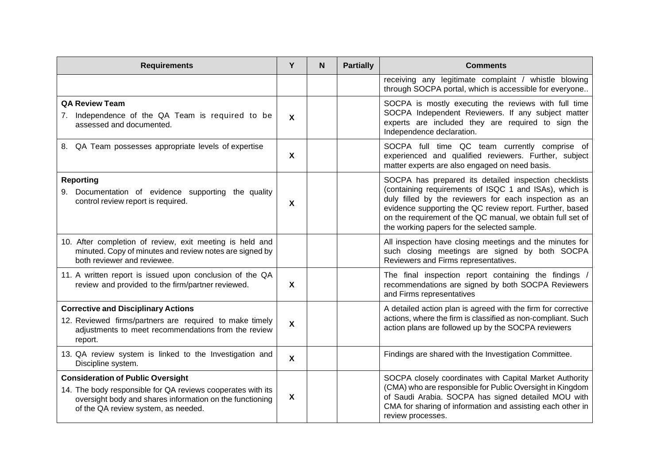| <b>Requirements</b>                                                                                                                                                                                        | Y                         | N. | <b>Partially</b> | <b>Comments</b>                                                                                                                                                                                                                                                                                                                                    |
|------------------------------------------------------------------------------------------------------------------------------------------------------------------------------------------------------------|---------------------------|----|------------------|----------------------------------------------------------------------------------------------------------------------------------------------------------------------------------------------------------------------------------------------------------------------------------------------------------------------------------------------------|
|                                                                                                                                                                                                            |                           |    |                  | receiving any legitimate complaint / whistle blowing<br>through SOCPA portal, which is accessible for everyone                                                                                                                                                                                                                                     |
| <b>QA Review Team</b><br>7. Independence of the QA Team is required to be<br>assessed and documented.                                                                                                      | $\boldsymbol{\mathsf{X}}$ |    |                  | SOCPA is mostly executing the reviews with full time<br>SOCPA Independent Reviewers. If any subject matter<br>experts are included they are required to sign the<br>Independence declaration.                                                                                                                                                      |
| QA Team possesses appropriate levels of expertise<br>8.                                                                                                                                                    | $\boldsymbol{\mathsf{X}}$ |    |                  | SOCPA full time QC team currently comprise of<br>experienced and qualified reviewers. Further, subject<br>matter experts are also engaged on need basis.                                                                                                                                                                                           |
| Reporting<br>9. Documentation of evidence supporting the quality<br>control review report is required.                                                                                                     | X                         |    |                  | SOCPA has prepared its detailed inspection checklists<br>(containing requirements of ISQC 1 and ISAs), which is<br>duly filled by the reviewers for each inspection as an<br>evidence supporting the QC review report. Further, based<br>on the requirement of the QC manual, we obtain full set of<br>the working papers for the selected sample. |
| 10. After completion of review, exit meeting is held and<br>minuted. Copy of minutes and review notes are signed by<br>both reviewer and reviewee.                                                         |                           |    |                  | All inspection have closing meetings and the minutes for<br>such closing meetings are signed by both SOCPA<br>Reviewers and Firms representatives.                                                                                                                                                                                                 |
| 11. A written report is issued upon conclusion of the QA<br>review and provided to the firm/partner reviewed.                                                                                              | $\boldsymbol{\mathsf{X}}$ |    |                  | The final inspection report containing the findings /<br>recommendations are signed by both SOCPA Reviewers<br>and Firms representatives                                                                                                                                                                                                           |
| <b>Corrective and Disciplinary Actions</b><br>12. Reviewed firms/partners are required to make timely<br>adjustments to meet recommendations from the review<br>report.                                    | $\mathbf{x}$              |    |                  | A detailed action plan is agreed with the firm for corrective<br>actions, where the firm is classified as non-compliant. Such<br>action plans are followed up by the SOCPA reviewers                                                                                                                                                               |
| 13. QA review system is linked to the Investigation and<br>Discipline system.                                                                                                                              | $\boldsymbol{\mathsf{X}}$ |    |                  | Findings are shared with the Investigation Committee.                                                                                                                                                                                                                                                                                              |
| <b>Consideration of Public Oversight</b><br>14. The body responsible for QA reviews cooperates with its<br>oversight body and shares information on the functioning<br>of the QA review system, as needed. | $\boldsymbol{\mathsf{X}}$ |    |                  | SOCPA closely coordinates with Capital Market Authority<br>(CMA) who are responsible for Public Oversight in Kingdom<br>of Saudi Arabia. SOCPA has signed detailed MOU with<br>CMA for sharing of information and assisting each other in<br>review processes.                                                                                     |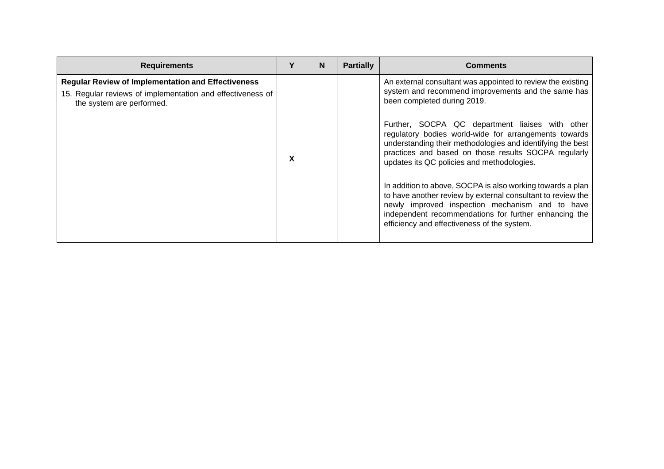| <b>Requirements</b>                                                                                                                                  |   | N | <b>Partially</b> | <b>Comments</b>                                                                                                                                                                                                                                                                      |
|------------------------------------------------------------------------------------------------------------------------------------------------------|---|---|------------------|--------------------------------------------------------------------------------------------------------------------------------------------------------------------------------------------------------------------------------------------------------------------------------------|
| <b>Regular Review of Implementation and Effectiveness</b><br>15. Regular reviews of implementation and effectiveness of<br>the system are performed. |   |   |                  | An external consultant was appointed to review the existing<br>system and recommend improvements and the same has<br>been completed during 2019.                                                                                                                                     |
|                                                                                                                                                      | X |   |                  | Further, SOCPA QC department liaises with other<br>regulatory bodies world-wide for arrangements towards<br>understanding their methodologies and identifying the best<br>practices and based on those results SOCPA regularly<br>updates its QC policies and methodologies.         |
|                                                                                                                                                      |   |   |                  | In addition to above, SOCPA is also working towards a plan<br>to have another review by external consultant to review the<br>newly improved inspection mechanism and to have<br>independent recommendations for further enhancing the<br>efficiency and effectiveness of the system. |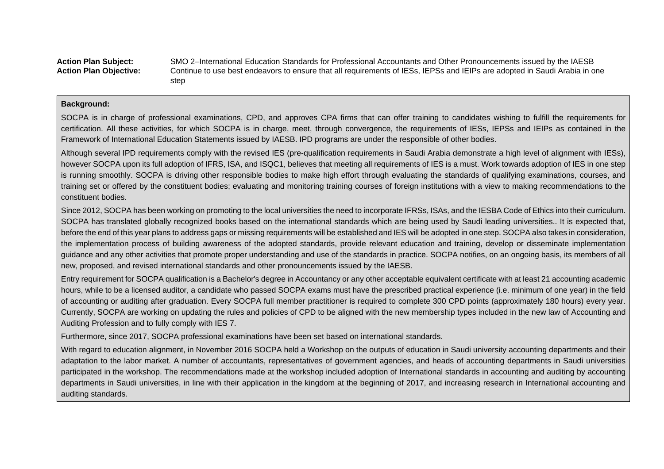**Action Plan Subject:** SMO 2–International Education Standards for Professional Accountants and Other Pronouncements issued by the IAESB **Action Plan Objective:** Continue to use best endeavors to ensure that all requirements of IESs, IEPSs and IEIPs are adopted in Saudi Arabia in one step

## **Background:**

SOCPA is in charge of professional examinations, CPD, and approves CPA firms that can offer training to candidates wishing to fulfill the requirements for certification. All these activities, for which SOCPA is in charge, meet, through convergence, the requirements of IESs, IEPSs and IEIPs as contained in the Framework of International Education Statements issued by IAESB. IPD programs are under the responsible of other bodies.

Although several IPD requirements comply with the revised IES (pre-qualification requirements in Saudi Arabia demonstrate a high level of alignment with IESs), however SOCPA upon its full adoption of IFRS, ISA, and ISQC1, believes that meeting all requirements of IES is a must. Work towards adoption of IES in one step is running smoothly. SOCPA is driving other responsible bodies to make high effort through evaluating the standards of qualifying examinations, courses, and training set or offered by the constituent bodies; evaluating and monitoring training courses of foreign institutions with a view to making recommendations to the constituent bodies.

Since 2012, SOCPA has been working on promoting to the local universities the need to incorporate IFRSs, ISAs, and the IESBA Code of Ethics into their curriculum. SOCPA has translated globally recognized books based on the international standards which are being used by Saudi leading universities.. It is expected that, before the end of this year plans to address gaps or missing requirements will be established and IES will be adopted in one step. SOCPA also takes in consideration, the implementation process of building awareness of the adopted standards, provide relevant education and training, develop or disseminate implementation guidance and any other activities that promote proper understanding and use of the standards in practice. SOCPA notifies, on an ongoing basis, its members of all new, proposed, and revised international standards and other pronouncements issued by the IAESB.

Entry requirement for SOCPA qualification is a Bachelor's degree in Accountancy or any other acceptable equivalent certificate with at least 21 accounting academic hours, while to be a licensed auditor, a candidate who passed SOCPA exams must have the prescribed practical experience (i.e. minimum of one year) in the field of accounting or auditing after graduation. Every SOCPA full member practitioner is required to complete 300 CPD points (approximately 180 hours) every year. Currently, SOCPA are working on updating the rules and policies of CPD to be aligned with the new membership types included in the new law of Accounting and Auditing Profession and to fully comply with IES 7.

Furthermore, since 2017, SOCPA professional examinations have been set based on international standards.

With regard to education alignment, in November 2016 SOCPA held a Workshop on the outputs of education in Saudi university accounting departments and their adaptation to the labor market. A number of accountants, representatives of government agencies, and heads of accounting departments in Saudi universities participated in the workshop. The recommendations made at the workshop included adoption of International standards in accounting and auditing by accounting departments in Saudi universities, in line with their application in the kingdom at the beginning of 2017, and increasing research in International accounting and auditing standards.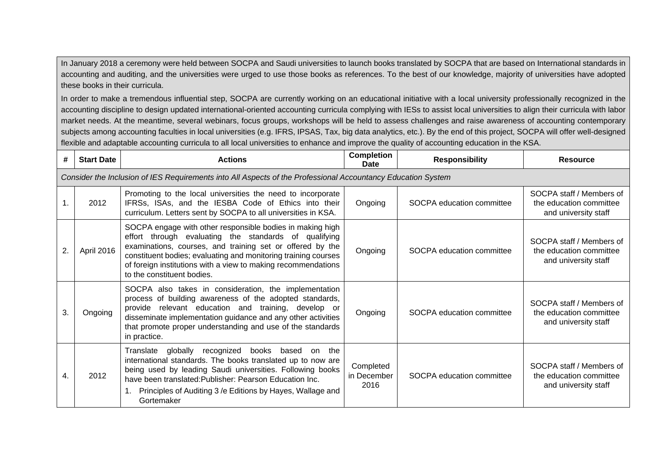In January 2018 a ceremony were held between SOCPA and Saudi universities to launch books translated by SOCPA that are based on International standards in accounting and auditing, and the universities were urged to use those books as references. To the best of our knowledge, majority of universities have adopted these books in their curricula.

In order to make a tremendous influential step, SOCPA are currently working on an educational initiative with a local university professionally recognized in the accounting discipline to design updated international-oriented accounting curricula complying with IESs to assist local universities to align their curricula with labor market needs. At the meantime, several webinars, focus groups, workshops will be held to assess challenges and raise awareness of accounting contemporary subjects among accounting faculties in local universities (e.g. IFRS, IPSAS, Tax, big data analytics, etc.). By the end of this project, SOCPA will offer well-designed flexible and adaptable accounting curricula to all local universities to enhance and improve the quality of accounting education in the KSA.

| #  | <b>Start Date</b> | <b>Actions</b>                                                                                                                                                                                                                                                                                                                                   | <b>Completion</b><br><b>Date</b> | <b>Responsibility</b>     | <b>Resource</b>                                                             |
|----|-------------------|--------------------------------------------------------------------------------------------------------------------------------------------------------------------------------------------------------------------------------------------------------------------------------------------------------------------------------------------------|----------------------------------|---------------------------|-----------------------------------------------------------------------------|
|    |                   | Consider the Inclusion of IES Requirements into All Aspects of the Professional Accountancy Education System                                                                                                                                                                                                                                     |                                  |                           |                                                                             |
|    | 2012              | Promoting to the local universities the need to incorporate<br>IFRSs, ISAs, and the IESBA Code of Ethics into their<br>curriculum. Letters sent by SOCPA to all universities in KSA.                                                                                                                                                             | Ongoing                          | SOCPA education committee | SOCPA staff / Members of<br>the education committee<br>and university staff |
| 2. | April 2016        | SOCPA engage with other responsible bodies in making high<br>effort through evaluating the standards of qualifying<br>examinations, courses, and training set or offered by the<br>constituent bodies; evaluating and monitoring training courses<br>of foreign institutions with a view to making recommendations<br>to the constituent bodies. | Ongoing                          | SOCPA education committee | SOCPA staff / Members of<br>the education committee<br>and university staff |
| 3. | Ongoing           | SOCPA also takes in consideration, the implementation<br>process of building awareness of the adopted standards,<br>provide relevant education and training, develop or<br>disseminate implementation guidance and any other activities<br>that promote proper understanding and use of the standards<br>in practice.                            | Ongoing                          | SOCPA education committee | SOCPA staff / Members of<br>the education committee<br>and university staff |
| 4. | 2012              | globally<br>recognized<br>Translate<br>books based<br>the<br>on<br>international standards. The books translated up to now are<br>being used by leading Saudi universities. Following books<br>have been translated: Publisher: Pearson Education Inc.<br>Principles of Auditing 3 /e Editions by Hayes, Wallage and<br>Gortemaker               | Completed<br>in December<br>2016 | SOCPA education committee | SOCPA staff / Members of<br>the education committee<br>and university staff |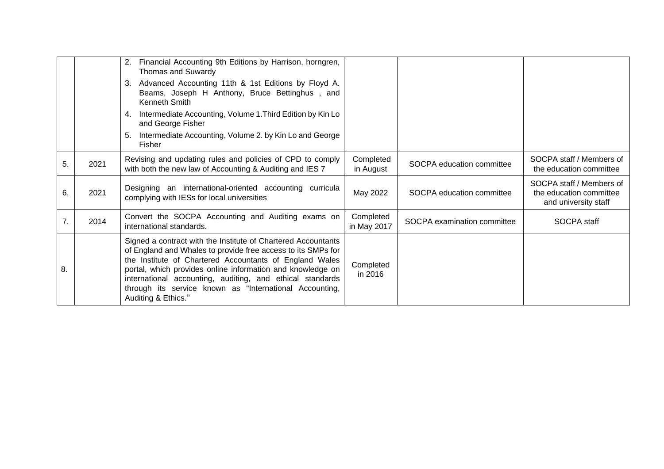|    |      | Financial Accounting 9th Editions by Harrison, horngren,<br>2.<br>Thomas and Suwardy                                                                                                                                                                                                                                                                                                                  |                          |                             |                                                                             |
|----|------|-------------------------------------------------------------------------------------------------------------------------------------------------------------------------------------------------------------------------------------------------------------------------------------------------------------------------------------------------------------------------------------------------------|--------------------------|-----------------------------|-----------------------------------------------------------------------------|
|    |      | Advanced Accounting 11th & 1st Editions by Floyd A.<br>3.<br>Beams, Joseph H Anthony, Bruce Bettinghus, and<br>Kenneth Smith                                                                                                                                                                                                                                                                          |                          |                             |                                                                             |
|    |      | Intermediate Accounting, Volume 1. Third Edition by Kin Lo<br>4.<br>and George Fisher                                                                                                                                                                                                                                                                                                                 |                          |                             |                                                                             |
|    |      | Intermediate Accounting, Volume 2. by Kin Lo and George<br>5.<br>Fisher                                                                                                                                                                                                                                                                                                                               |                          |                             |                                                                             |
| 5. | 2021 | Revising and updating rules and policies of CPD to comply<br>with both the new law of Accounting & Auditing and IES 7                                                                                                                                                                                                                                                                                 | Completed<br>in August   | SOCPA education committee   | SOCPA staff / Members of<br>the education committee                         |
| 6. | 2021 | Designing an international-oriented accounting curricula<br>complying with IESs for local universities                                                                                                                                                                                                                                                                                                | May 2022                 | SOCPA education committee   | SOCPA staff / Members of<br>the education committee<br>and university staff |
| 7. | 2014 | Convert the SOCPA Accounting and Auditing exams on<br>international standards.                                                                                                                                                                                                                                                                                                                        | Completed<br>in May 2017 | SOCPA examination committee | SOCPA staff                                                                 |
| 8. |      | Signed a contract with the Institute of Chartered Accountants<br>of England and Whales to provide free access to its SMPs for<br>the Institute of Chartered Accountants of England Wales<br>portal, which provides online information and knowledge on<br>international accounting, auditing, and ethical standards<br>through its service known as "International Accounting,<br>Auditing & Ethics." | Completed<br>in 2016     |                             |                                                                             |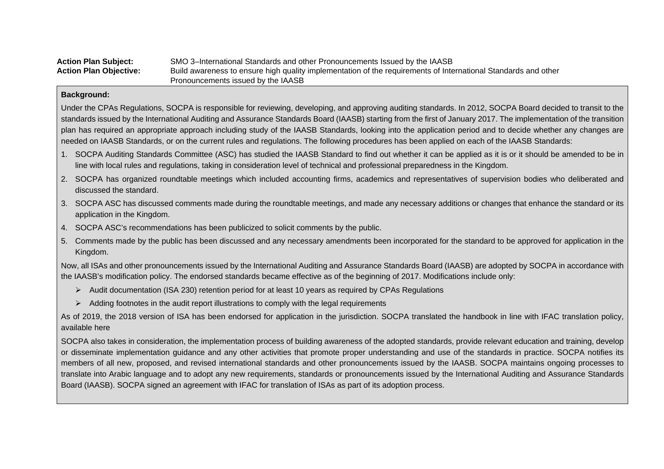| <b>Action Plan Subject:</b>   | SMO 3-International Standards and other Pronouncements Issued by the IAASB                                     |
|-------------------------------|----------------------------------------------------------------------------------------------------------------|
| <b>Action Plan Objective:</b> | Build awareness to ensure high quality implementation of the requirements of International Standards and other |
|                               | Pronouncements issued by the IAASB                                                                             |

Under the CPAs Regulations, SOCPA is responsible for reviewing, developing, and approving auditing standards. In 2012, SOCPA Board decided to transit to the standards issued by the International Auditing and Assurance Standards Board (IAASB) starting from the first of January 2017. The implementation of the transition plan has required an appropriate approach including study of the IAASB Standards, looking into the application period and to decide whether any changes are needed on IAASB Standards, or on the current rules and regulations. The following procedures has been applied on each of the IAASB Standards:

- 1. SOCPA Auditing Standards Committee (ASC) has studied the IAASB Standard to find out whether it can be applied as it is or it should be amended to be in line with local rules and regulations, taking in consideration level of technical and professional preparedness in the Kingdom.
- 2. SOCPA has organized roundtable meetings which included accounting firms, academics and representatives of supervision bodies who deliberated and discussed the standard.
- 3. SOCPA ASC has discussed comments made during the roundtable meetings, and made any necessary additions or changes that enhance the standard or its application in the Kingdom.
- 4. SOCPA ASC's recommendations has been publicized to solicit comments by the public.
- 5. Comments made by the public has been discussed and any necessary amendments been incorporated for the standard to be approved for application in the Kingdom.

Now, all ISAs and other pronouncements issued by the International Auditing and Assurance Standards Board (IAASB) are adopted by SOCPA in accordance with the IAASB's modification policy. The endorsed standards became effective as of the beginning of 2017. Modifications include only:

- $\triangleright$  Audit documentation (ISA 230) retention period for at least 10 years as required by CPAs Regulations
- $\triangleright$  Adding footnotes in the audit report illustrations to comply with the legal requirements

As of 2019, the 2018 version of ISA has been endorsed for application in the jurisdiction. SOCPA translated the handbook in line with IFAC translation policy, available here

SOCPA also takes in consideration, the implementation process of building awareness of the adopted standards, provide relevant education and training, develop or disseminate implementation guidance and any other activities that promote proper understanding and use of the standards in practice. SOCPA notifies its members of all new, proposed, and revised international standards and other pronouncements issued by the IAASB. SOCPA maintains ongoing processes to translate into Arabic language and to adopt any new requirements, standards or pronouncements issued by the International Auditing and Assurance Standards Board (IAASB). SOCPA signed an agreement with IFAC for translation of ISAs as part of its adoption process.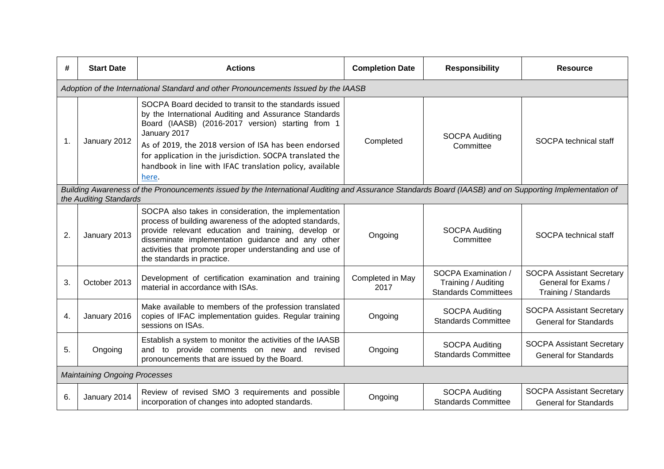| #             | <b>Start Date</b>                                                                                                                                                                 | <b>Actions</b>                                                                                                                                                                                                                                                                                                                                                                  | <b>Completion Date</b>   | <b>Responsibility</b>                                                     | <b>Resource</b>                                                                 |  |
|---------------|-----------------------------------------------------------------------------------------------------------------------------------------------------------------------------------|---------------------------------------------------------------------------------------------------------------------------------------------------------------------------------------------------------------------------------------------------------------------------------------------------------------------------------------------------------------------------------|--------------------------|---------------------------------------------------------------------------|---------------------------------------------------------------------------------|--|
|               |                                                                                                                                                                                   | Adoption of the International Standard and other Pronouncements Issued by the IAASB                                                                                                                                                                                                                                                                                             |                          |                                                                           |                                                                                 |  |
| $\mathbf 1$ . | January 2012                                                                                                                                                                      | SOCPA Board decided to transit to the standards issued<br>by the International Auditing and Assurance Standards<br>Board (IAASB) (2016-2017 version) starting from 1<br>January 2017<br>As of 2019, the 2018 version of ISA has been endorsed<br>for application in the jurisdiction. SOCPA translated the<br>handbook in line with IFAC translation policy, available<br>here. | Completed                | <b>SOCPA Auditing</b><br>Committee                                        | SOCPA technical staff                                                           |  |
|               | Building Awareness of the Pronouncements issued by the International Auditing and Assurance Standards Board (IAASB) and on Supporting Implementation of<br>the Auditing Standards |                                                                                                                                                                                                                                                                                                                                                                                 |                          |                                                                           |                                                                                 |  |
| 2.            | January 2013                                                                                                                                                                      | SOCPA also takes in consideration, the implementation<br>process of building awareness of the adopted standards,<br>provide relevant education and training, develop or<br>disseminate implementation guidance and any other<br>activities that promote proper understanding and use of<br>the standards in practice.                                                           | Ongoing                  | <b>SOCPA Auditing</b><br>Committee                                        | SOCPA technical staff                                                           |  |
| 3.            | October 2013                                                                                                                                                                      | Development of certification examination and training<br>material in accordance with ISAs.                                                                                                                                                                                                                                                                                      | Completed in May<br>2017 | SOCPA Examination /<br>Training / Auditing<br><b>Standards Committees</b> | <b>SOCPA Assistant Secretary</b><br>General for Exams /<br>Training / Standards |  |
| 4.            | January 2016                                                                                                                                                                      | Make available to members of the profession translated<br>copies of IFAC implementation guides. Regular training<br>sessions on ISAs.                                                                                                                                                                                                                                           | Ongoing                  | <b>SOCPA Auditing</b><br><b>Standards Committee</b>                       | <b>SOCPA Assistant Secretary</b><br><b>General for Standards</b>                |  |
| 5.            | Ongoing                                                                                                                                                                           | Establish a system to monitor the activities of the IAASB<br>and to provide comments on new and revised<br>pronouncements that are issued by the Board.                                                                                                                                                                                                                         | Ongoing                  | <b>SOCPA Auditing</b><br><b>Standards Committee</b>                       | <b>SOCPA Assistant Secretary</b><br><b>General for Standards</b>                |  |
|               | <b>Maintaining Ongoing Processes</b>                                                                                                                                              |                                                                                                                                                                                                                                                                                                                                                                                 |                          |                                                                           |                                                                                 |  |
| 6.            | January 2014                                                                                                                                                                      | Review of revised SMO 3 requirements and possible<br>incorporation of changes into adopted standards.                                                                                                                                                                                                                                                                           | Ongoing                  | <b>SOCPA Auditing</b><br><b>Standards Committee</b>                       | <b>SOCPA Assistant Secretary</b><br><b>General for Standards</b>                |  |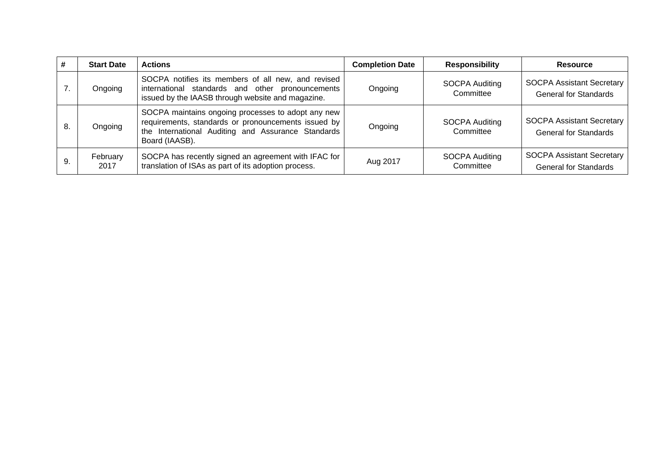| #   | <b>Start Date</b> | <b>Actions</b>                                                                                                                                                                    | <b>Completion Date</b> | <b>Responsibility</b>              | <b>Resource</b>                                                  |
|-----|-------------------|-----------------------------------------------------------------------------------------------------------------------------------------------------------------------------------|------------------------|------------------------------------|------------------------------------------------------------------|
|     | Ongoing           | SOCPA notifies its members of all new, and revised<br>international standards and other pronouncements<br>issued by the IAASB through website and magazine.                       | Ongoing                | SOCPA Auditing<br>Committee        | <b>SOCPA Assistant Secretary</b><br><b>General for Standards</b> |
| -8. | Ongoing           | SOCPA maintains ongoing processes to adopt any new<br>requirements, standards or pronouncements issued by<br>the International Auditing and Assurance Standards<br>Board (IAASB). | Ongoing                | <b>SOCPA Auditing</b><br>Committee | <b>SOCPA Assistant Secretary</b><br><b>General for Standards</b> |
|     | February<br>2017  | SOCPA has recently signed an agreement with IFAC for<br>translation of ISAs as part of its adoption process.                                                                      | Aug 2017               | <b>SOCPA Auditing</b><br>Committee | <b>SOCPA Assistant Secretary</b><br><b>General for Standards</b> |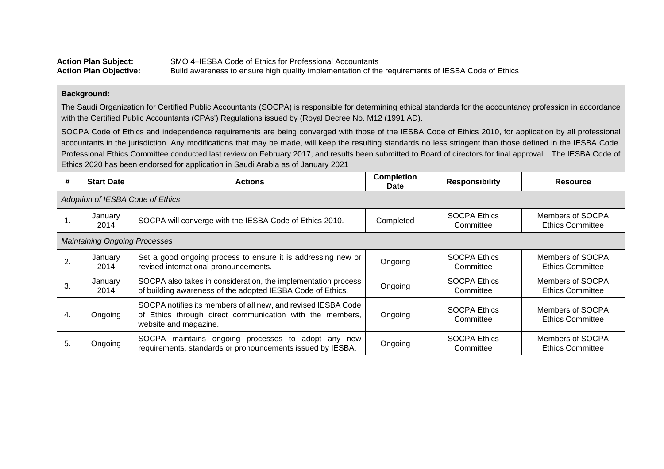| <b>Action Plan Subject:</b>   | SMO 4–IESBA Code of Ethics for Professional Accountants                                           |
|-------------------------------|---------------------------------------------------------------------------------------------------|
| <b>Action Plan Objective:</b> | Build awareness to ensure high quality implementation of the requirements of IESBA Code of Ethics |

The Saudi Organization for Certified Public Accountants (SOCPA) is responsible for determining ethical standards for the accountancy profession in accordance with the Certified Public Accountants (CPAs') Regulations issued by (Royal Decree No. M12 (1991 AD).

SOCPA Code of Ethics and independence requirements are being converged with those of the IESBA Code of Ethics 2010, for application by all professional accountants in the jurisdiction. Any modifications that may be made, will keep the resulting standards no less stringent than those defined in the IESBA Code. Professional Ethics Committee conducted last review on February 2017, and results been submitted to Board of directors for final approval. The IESBA Code of Ethics 2020 has been endorsed for application in Saudi Arabia as of January 2021

| #  | <b>Start Date</b>                    | <b>Actions</b>                                                                                                                                     | <b>Completion</b><br><b>Date</b> | <b>Responsibility</b>            | <b>Resource</b>                             |  |  |  |
|----|--------------------------------------|----------------------------------------------------------------------------------------------------------------------------------------------------|----------------------------------|----------------------------------|---------------------------------------------|--|--|--|
|    | Adoption of IESBA Code of Ethics     |                                                                                                                                                    |                                  |                                  |                                             |  |  |  |
|    | January<br>2014                      | SOCPA will converge with the IESBA Code of Ethics 2010.                                                                                            | Completed                        | <b>SOCPA Ethics</b><br>Committee | Members of SOCPA<br><b>Ethics Committee</b> |  |  |  |
|    | <b>Maintaining Ongoing Processes</b> |                                                                                                                                                    |                                  |                                  |                                             |  |  |  |
| 2. | January<br>2014                      | Set a good ongoing process to ensure it is addressing new or<br>revised international pronouncements.                                              | Ongoing                          | <b>SOCPA Ethics</b><br>Committee | Members of SOCPA<br><b>Ethics Committee</b> |  |  |  |
| 3. | January<br>2014                      | SOCPA also takes in consideration, the implementation process<br>of building awareness of the adopted IESBA Code of Ethics.                        | Ongoing                          | <b>SOCPA Ethics</b><br>Committee | Members of SOCPA<br><b>Ethics Committee</b> |  |  |  |
| 4. | Ongoing                              | SOCPA notifies its members of all new, and revised IESBA Code<br>of Ethics through direct communication with the members,<br>website and magazine. | Ongoing                          | <b>SOCPA Ethics</b><br>Committee | Members of SOCPA<br><b>Ethics Committee</b> |  |  |  |
| 5. | Ongoing                              | SOCPA maintains ongoing processes to adopt any new<br>requirements, standards or pronouncements issued by IESBA.                                   | Ongoing                          | <b>SOCPA Ethics</b><br>Committee | Members of SOCPA<br><b>Ethics Committee</b> |  |  |  |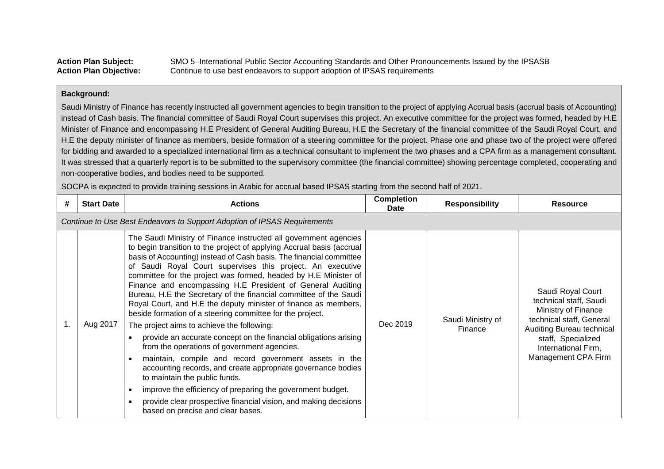| <b>Action Plan Subject:</b>   | SMO 5-International Public Sector Accounting Standards and Other Pronouncements Issued by the IPSASB |
|-------------------------------|------------------------------------------------------------------------------------------------------|
| <b>Action Plan Objective:</b> | Continue to use best endeavors to support adoption of IPSAS requirements                             |

Saudi Ministry of Finance has recently instructed all government agencies to begin transition to the project of applying Accrual basis (accrual basis of Accounting) instead of Cash basis. The financial committee of Saudi Royal Court supervises this project. An executive committee for the project was formed, headed by H.E Minister of Finance and encompassing H.E President of General Auditing Bureau, H.E the Secretary of the financial committee of the Saudi Royal Court, and H.E the deputy minister of finance as members, beside formation of a steering committee for the project. Phase one and phase two of the project were offered for bidding and awarded to a specialized international firm as a technical consultant to implement the two phases and a CPA firm as a management consultant. It was stressed that a quarterly report is to be submitted to the supervisory committee (the financial committee) showing percentage completed, cooperating and non-cooperative bodies, and bodies need to be supported.

SOCPA is expected to provide training sessions in Arabic for accrual based IPSAS starting from the second half of 2021.

| # | <b>Start Date</b> | <b>Actions</b>                                                                                                                                                                                                                                                                                                                                                                                                                                                                                                                                                                                                                                                                                                                                                                                                                                                                                                                                                                                                                                                                                                                                        | <b>Completion</b><br>Date | <b>Responsibility</b>        | <b>Resource</b>                                                                                                                                                                                 |
|---|-------------------|-------------------------------------------------------------------------------------------------------------------------------------------------------------------------------------------------------------------------------------------------------------------------------------------------------------------------------------------------------------------------------------------------------------------------------------------------------------------------------------------------------------------------------------------------------------------------------------------------------------------------------------------------------------------------------------------------------------------------------------------------------------------------------------------------------------------------------------------------------------------------------------------------------------------------------------------------------------------------------------------------------------------------------------------------------------------------------------------------------------------------------------------------------|---------------------------|------------------------------|-------------------------------------------------------------------------------------------------------------------------------------------------------------------------------------------------|
|   |                   | Continue to Use Best Endeavors to Support Adoption of IPSAS Requirements                                                                                                                                                                                                                                                                                                                                                                                                                                                                                                                                                                                                                                                                                                                                                                                                                                                                                                                                                                                                                                                                              |                           |                              |                                                                                                                                                                                                 |
|   | Aug 2017          | The Saudi Ministry of Finance instructed all government agencies<br>to begin transition to the project of applying Accrual basis (accrual<br>basis of Accounting) instead of Cash basis. The financial committee<br>of Saudi Royal Court supervises this project. An executive<br>committee for the project was formed, headed by H.E Minister of<br>Finance and encompassing H.E President of General Auditing<br>Bureau, H.E the Secretary of the financial committee of the Saudi<br>Royal Court, and H.E the deputy minister of finance as members,<br>beside formation of a steering committee for the project.<br>The project aims to achieve the following:<br>provide an accurate concept on the financial obligations arising<br>$\bullet$<br>from the operations of government agencies.<br>maintain, compile and record government assets in the<br>$\bullet$<br>accounting records, and create appropriate governance bodies<br>to maintain the public funds.<br>improve the efficiency of preparing the government budget.<br>O<br>provide clear prospective financial vision, and making decisions<br>based on precise and clear bases. | Dec 2019                  | Saudi Ministry of<br>Finance | Saudi Royal Court<br>technical staff, Saudi<br>Ministry of Finance<br>technical staff, General<br>Auditing Bureau technical<br>staff, Specialized<br>International Firm,<br>Management CPA Firm |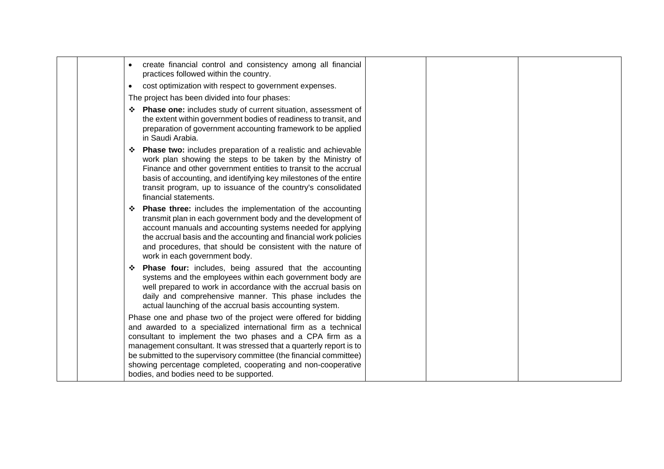|  | create financial control and consistency among all financial<br>$\bullet$<br>practices followed within the country.                                                                                                                                                                                                                                                                                                                                         |  |
|--|-------------------------------------------------------------------------------------------------------------------------------------------------------------------------------------------------------------------------------------------------------------------------------------------------------------------------------------------------------------------------------------------------------------------------------------------------------------|--|
|  | cost optimization with respect to government expenses.<br>$\bullet$                                                                                                                                                                                                                                                                                                                                                                                         |  |
|  | The project has been divided into four phases:                                                                                                                                                                                                                                                                                                                                                                                                              |  |
|  | * Phase one: includes study of current situation, assessment of<br>the extent within government bodies of readiness to transit, and<br>preparation of government accounting framework to be applied<br>in Saudi Arabia.                                                                                                                                                                                                                                     |  |
|  | ❖ Phase two: includes preparation of a realistic and achievable<br>work plan showing the steps to be taken by the Ministry of<br>Finance and other government entities to transit to the accrual<br>basis of accounting, and identifying key milestones of the entire<br>transit program, up to issuance of the country's consolidated<br>financial statements.                                                                                             |  |
|  | <b>Phase three:</b> includes the implementation of the accounting<br>transmit plan in each government body and the development of<br>account manuals and accounting systems needed for applying<br>the accrual basis and the accounting and financial work policies<br>and procedures, that should be consistent with the nature of<br>work in each government body.                                                                                        |  |
|  | ❖ Phase four: includes, being assured that the accounting<br>systems and the employees within each government body are<br>well prepared to work in accordance with the accrual basis on<br>daily and comprehensive manner. This phase includes the<br>actual launching of the accrual basis accounting system.                                                                                                                                              |  |
|  | Phase one and phase two of the project were offered for bidding<br>and awarded to a specialized international firm as a technical<br>consultant to implement the two phases and a CPA firm as a<br>management consultant. It was stressed that a quarterly report is to<br>be submitted to the supervisory committee (the financial committee)<br>showing percentage completed, cooperating and non-cooperative<br>bodies, and bodies need to be supported. |  |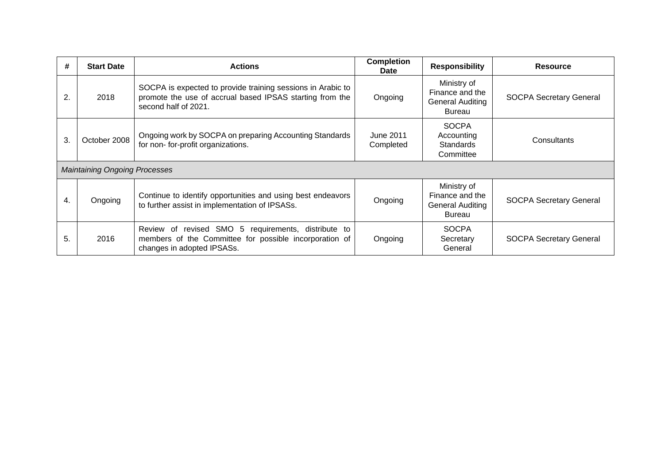| #  | <b>Start Date</b>                    | <b>Actions</b>                                                                                                                                    | <b>Completion</b><br>Date | <b>Responsibility</b>                                               | <b>Resource</b>                |
|----|--------------------------------------|---------------------------------------------------------------------------------------------------------------------------------------------------|---------------------------|---------------------------------------------------------------------|--------------------------------|
| 2. | 2018                                 | SOCPA is expected to provide training sessions in Arabic to<br>promote the use of accrual based IPSAS starting from the<br>second half of 2021.   | Ongoing                   | Ministry of<br>Finance and the<br>General Auditing<br><b>Bureau</b> | <b>SOCPA Secretary General</b> |
| 3. | October 2008                         | Ongoing work by SOCPA on preparing Accounting Standards<br>for non-for-profit organizations.                                                      | June 2011<br>Completed    | <b>SOCPA</b><br>Accounting<br><b>Standards</b><br>Committee         | Consultants                    |
|    | <b>Maintaining Ongoing Processes</b> |                                                                                                                                                   |                           |                                                                     |                                |
| 4. | Ongoing                              | Continue to identify opportunities and using best endeavors<br>to further assist in implementation of IPSASs.                                     | Ongoing                   | Ministry of<br>Finance and the<br>General Auditing<br>Bureau        | <b>SOCPA Secretary General</b> |
| 5. | 2016                                 | Review of<br>revised SMO 5<br>requirements, distribute to<br>members of the Committee for possible incorporation of<br>changes in adopted IPSASs. | Ongoing                   | <b>SOCPA</b><br>Secretary<br>General                                | <b>SOCPA Secretary General</b> |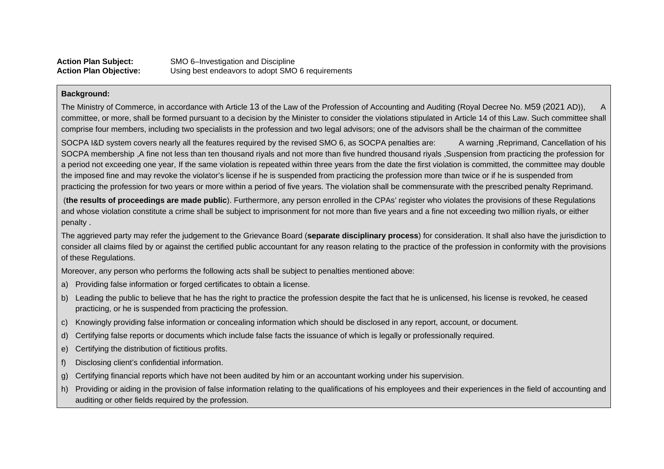The Ministry of Commerce, in accordance with Article 13 of the Law of the Profession of Accounting and Auditing (Royal Decree No. M59 (2021 AD)), A committee, or more, shall be formed pursuant to a decision by the Minister to consider the violations stipulated in Article 14 of this Law. Such committee shall comprise four members, including two specialists in the profession and two legal advisors; one of the advisors shall be the chairman of the committee

SOCPA I&D system covers nearly all the features required by the revised SMO 6, as SOCPA penalties are: A warning ,Reprimand, Cancellation of his SOCPA membership ,A fine not less than ten thousand riyals and not more than five hundred thousand riyals ,Suspension from practicing the profession for a period not exceeding one year, If the same violation is repeated within three years from the date the first violation is committed, the committee may double the imposed fine and may revoke the violator's license if he is suspended from practicing the profession more than twice or if he is suspended from practicing the profession for two years or more within a period of five years. The violation shall be commensurate with the prescribed penalty Reprimand .

(**the results of proceedings are made public**). Furthermore, any person enrolled in the CPAs' register who violates the provisions of these Regulations and whose violation constitute a crime shall be subject to imprisonment for not more than five years and a fine not exceeding two million riyals, or either penalty .

The aggrieved party may refer the judgement to the Grievance Board (**separate disciplinary process**) for consideration. It shall also have the jurisdiction to consider all claims filed by or against the certified public accountant for any reason relating to the practice of the profession in conformity with the provisions of these Regulations.

Moreover, any person who performs the following acts shall be subject to penalties mentioned above:

- a) Providing false information or forged certificates to obtain a license.
- b) Leading the public to believe that he has the right to practice the profession despite the fact that he is unlicensed, his license is revoked, he ceased practicing, or he is suspended from practicing the profession.
- c) Knowingly providing false information or concealing information which should be disclosed in any report, account, or document.
- d) Certifying false reports or documents which include false facts the issuance of which is legally or professionally required.
- e) Certifying the distribution of fictitious profits.
- f) Disclosing client's confidential information.
- g) Certifying financial reports which have not been audited by him or an accountant working under his supervision.
- h) Providing or aiding in the provision of false information relating to the qualifications of his employees and their experiences in the field of accounting and auditing or other fields required by the profession.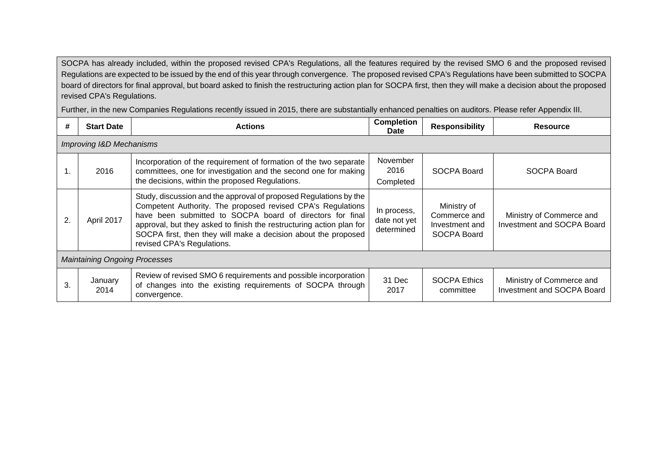SOCPA has already included, within the proposed revised CPA's Regulations, all the features required by the revised SMO 6 and the proposed revised Regulations are expected to be issued by the end of this year through convergence. The proposed revised CPA's Regulations have been submitted to SOCPA board of directors for final approval, but board asked to finish the restructuring action plan for SOCPA first, then they will make a decision about the proposed revised CPA's Regulations.

Further, in the new Companies Regulations recently issued in 2015, there are substantially enhanced penalties on auditors. Please refer Appendix III.

| #  | <b>Start Date</b>                    | <b>Actions</b>                                                                                                                                                                                                                                                                                                                                                        | <b>Completion</b><br><b>Date</b>          | <b>Responsibility</b>                                        | <b>Resource</b>                                        |  |  |  |
|----|--------------------------------------|-----------------------------------------------------------------------------------------------------------------------------------------------------------------------------------------------------------------------------------------------------------------------------------------------------------------------------------------------------------------------|-------------------------------------------|--------------------------------------------------------------|--------------------------------------------------------|--|--|--|
|    | Improving I&D Mechanisms             |                                                                                                                                                                                                                                                                                                                                                                       |                                           |                                                              |                                                        |  |  |  |
| 1. | 2016                                 | Incorporation of the requirement of formation of the two separate<br>committees, one for investigation and the second one for making<br>the decisions, within the proposed Regulations.                                                                                                                                                                               | November<br>2016<br>Completed             | SOCPA Board                                                  | SOCPA Board                                            |  |  |  |
| 2. | April 2017                           | Study, discussion and the approval of proposed Regulations by the<br>Competent Authority. The proposed revised CPA's Regulations<br>have been submitted to SOCPA board of directors for final<br>approval, but they asked to finish the restructuring action plan for<br>SOCPA first, then they will make a decision about the proposed<br>revised CPA's Regulations. | In process,<br>date not yet<br>determined | Ministry of<br>Commerce and<br>Investment and<br>SOCPA Board | Ministry of Commerce and<br>Investment and SOCPA Board |  |  |  |
|    | <b>Maintaining Ongoing Processes</b> |                                                                                                                                                                                                                                                                                                                                                                       |                                           |                                                              |                                                        |  |  |  |
| 3. | January<br>2014                      | Review of revised SMO 6 requirements and possible incorporation<br>of changes into the existing requirements of SOCPA through<br>convergence.                                                                                                                                                                                                                         | 31 Dec<br>2017                            | <b>SOCPA Ethics</b><br>committee                             | Ministry of Commerce and<br>Investment and SOCPA Board |  |  |  |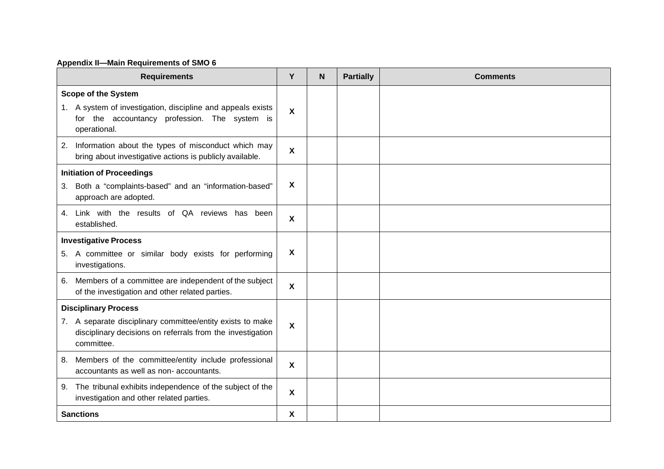# **Appendix II—Main Requirements of SMO 6**

| <b>Requirements</b>                                                                                                                    | Y                         | N | <b>Partially</b> | <b>Comments</b> |
|----------------------------------------------------------------------------------------------------------------------------------------|---------------------------|---|------------------|-----------------|
| <b>Scope of the System</b>                                                                                                             |                           |   |                  |                 |
| 1. A system of investigation, discipline and appeals exists<br>for the accountancy profession. The system is<br>operational.           | X                         |   |                  |                 |
| Information about the types of misconduct which may<br>2.<br>bring about investigative actions is publicly available.                  | X                         |   |                  |                 |
| <b>Initiation of Proceedings</b>                                                                                                       |                           |   |                  |                 |
| 3. Both a "complaints-based" and an "information-based"<br>approach are adopted.                                                       | X                         |   |                  |                 |
| 4. Link with the results of QA reviews has been<br>established.                                                                        | X                         |   |                  |                 |
| <b>Investigative Process</b>                                                                                                           |                           |   |                  |                 |
| 5. A committee or similar body exists for performing<br>investigations.                                                                | X                         |   |                  |                 |
| Members of a committee are independent of the subject<br>6.<br>of the investigation and other related parties.                         | $\boldsymbol{\mathsf{X}}$ |   |                  |                 |
| <b>Disciplinary Process</b>                                                                                                            |                           |   |                  |                 |
| 7. A separate disciplinary committee/entity exists to make<br>disciplinary decisions on referrals from the investigation<br>committee. | X                         |   |                  |                 |
| 8. Members of the committee/entity include professional<br>accountants as well as non- accountants.                                    | X                         |   |                  |                 |
| The tribunal exhibits independence of the subject of the<br>9.<br>investigation and other related parties.                             | X                         |   |                  |                 |
| <b>Sanctions</b>                                                                                                                       | X                         |   |                  |                 |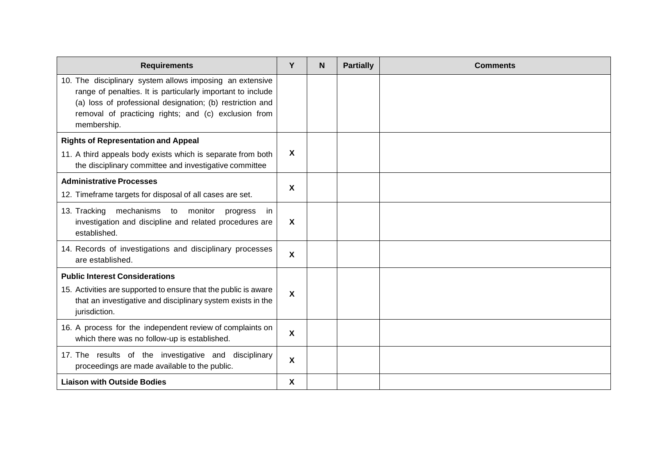| <b>Requirements</b>                                                                                                                                                                                                                                         | Y            | N | <b>Partially</b> | <b>Comments</b> |
|-------------------------------------------------------------------------------------------------------------------------------------------------------------------------------------------------------------------------------------------------------------|--------------|---|------------------|-----------------|
| 10. The disciplinary system allows imposing an extensive<br>range of penalties. It is particularly important to include<br>(a) loss of professional designation; (b) restriction and<br>removal of practicing rights; and (c) exclusion from<br>membership. |              |   |                  |                 |
| <b>Rights of Representation and Appeal</b>                                                                                                                                                                                                                  |              |   |                  |                 |
| 11. A third appeals body exists which is separate from both<br>the disciplinary committee and investigative committee                                                                                                                                       | X            |   |                  |                 |
| <b>Administrative Processes</b>                                                                                                                                                                                                                             | X            |   |                  |                 |
| 12. Timeframe targets for disposal of all cases are set.                                                                                                                                                                                                    |              |   |                  |                 |
| 13. Tracking mechanisms to monitor<br>progress<br>in.<br>investigation and discipline and related procedures are<br>established.                                                                                                                            | X            |   |                  |                 |
| 14. Records of investigations and disciplinary processes<br>are established.                                                                                                                                                                                | $\mathbf{x}$ |   |                  |                 |
| <b>Public Interest Considerations</b>                                                                                                                                                                                                                       |              |   |                  |                 |
| 15. Activities are supported to ensure that the public is aware<br>that an investigative and disciplinary system exists in the<br>jurisdiction.                                                                                                             | X            |   |                  |                 |
| 16. A process for the independent review of complaints on<br>which there was no follow-up is established.                                                                                                                                                   | X            |   |                  |                 |
| 17. The results of the investigative and disciplinary<br>proceedings are made available to the public.                                                                                                                                                      | X            |   |                  |                 |
| <b>Liaison with Outside Bodies</b>                                                                                                                                                                                                                          | X            |   |                  |                 |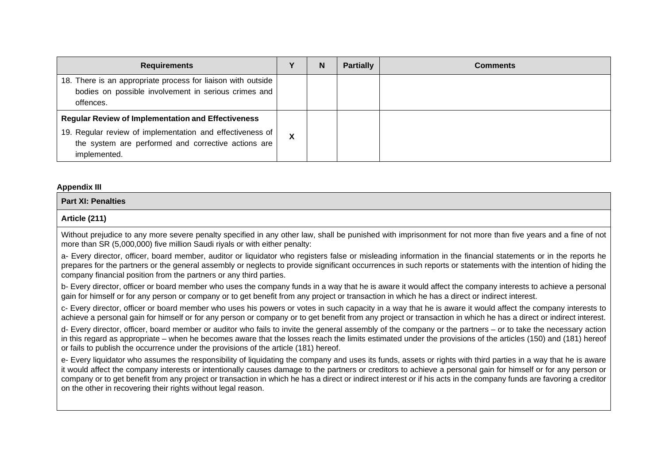| <b>Requirements</b>                                                                                                                                                                           |  | N | <b>Partially</b> | <b>Comments</b> |
|-----------------------------------------------------------------------------------------------------------------------------------------------------------------------------------------------|--|---|------------------|-----------------|
| 18. There is an appropriate process for liaison with outside  <br>bodies on possible involvement in serious crimes and<br>offences.                                                           |  |   |                  |                 |
| <b>Regular Review of Implementation and Effectiveness</b><br>19. Regular review of implementation and effectiveness of<br>the system are performed and corrective actions are<br>implemented. |  |   |                  |                 |

#### **Appendix III**

#### **Part XI: Penalties**

## **Article (211)**

Without prejudice to any more severe penalty specified in any other law, shall be punished with imprisonment for not more than five years and a fine of not more than SR (5,000,000) five million Saudi riyals or with either penalty:

a- Every director, officer, board member, auditor or liquidator who registers false or misleading information in the financial statements or in the reports he prepares for the partners or the general assembly or neglects to provide significant occurrences in such reports or statements with the intention of hiding the company financial position from the partners or any third parties.

b- Every director, officer or board member who uses the company funds in a way that he is aware it would affect the company interests to achieve a personal gain for himself or for any person or company or to get benefit from any project or transaction in which he has a direct or indirect interest.

c- Every director, officer or board member who uses his powers or votes in such capacity in a way that he is aware it would affect the company interests to achieve a personal gain for himself or for any person or company or to get benefit from any project or transaction in which he has a direct or indirect interest.

d- Every director, officer, board member or auditor who fails to invite the general assembly of the company or the partners – or to take the necessary action in this regard as appropriate – when he becomes aware that the losses reach the limits estimated under the provisions of the articles (150) and (181) hereof or fails to publish the occurrence under the provisions of the article (181) hereof.

e- Every liquidator who assumes the responsibility of liquidating the company and uses its funds, assets or rights with third parties in a way that he is aware it would affect the company interests or intentionally causes damage to the partners or creditors to achieve a personal gain for himself or for any person or company or to get benefit from any project or transaction in which he has a direct or indirect interest or if his acts in the company funds are favoring a creditor on the other in recovering their rights without legal reason.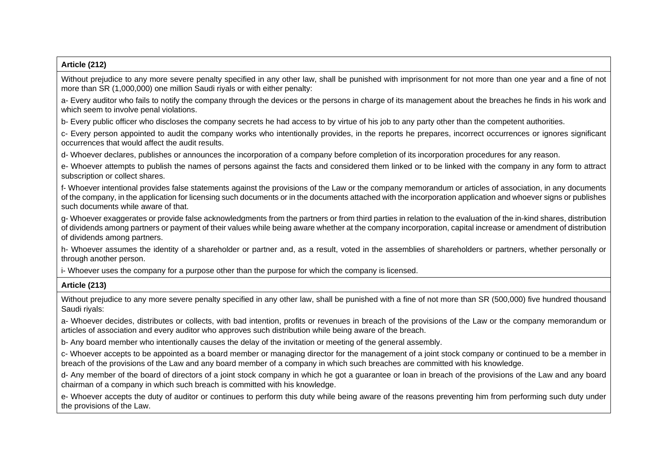## **Article (212)**

Without prejudice to any more severe penalty specified in any other law, shall be punished with imprisonment for not more than one year and a fine of not more than SR (1,000,000) one million Saudi riyals or with either penalty:

a- Every auditor who fails to notify the company through the devices or the persons in charge of its management about the breaches he finds in his work and which seem to involve penal violations.

b- Every public officer who discloses the company secrets he had access to by virtue of his job to any party other than the competent authorities.

c- Every person appointed to audit the company works who intentionally provides, in the reports he prepares, incorrect occurrences or ignores significant occurrences that would affect the audit results.

d- Whoever declares, publishes or announces the incorporation of a company before completion of its incorporation procedures for any reason.

e- Whoever attempts to publish the names of persons against the facts and considered them linked or to be linked with the company in any form to attract subscription or collect shares.

f- Whoever intentional provides false statements against the provisions of the Law or the company memorandum or articles of association, in any documents of the company, in the application for licensing such documents or in the documents attached with the incorporation application and whoever signs or publishes such documents while aware of that.

g- Whoever exaggerates or provide false acknowledgments from the partners or from third parties in relation to the evaluation of the in-kind shares, distribution of dividends among partners or payment of their values while being aware whether at the company incorporation, capital increase or amendment of distribution of dividends among partners.

h- Whoever assumes the identity of a shareholder or partner and, as a result, voted in the assemblies of shareholders or partners, whether personally or through another person.

i- Whoever uses the company for a purpose other than the purpose for which the company is licensed.

# **Article (213)**

Without prejudice to any more severe penalty specified in any other law, shall be punished with a fine of not more than SR (500,000) five hundred thousand Saudi riyals:

a- Whoever decides, distributes or collects, with bad intention, profits or revenues in breach of the provisions of the Law or the company memorandum or articles of association and every auditor who approves such distribution while being aware of the breach.

b- Any board member who intentionally causes the delay of the invitation or meeting of the general assembly.

c- Whoever accepts to be appointed as a board member or managing director for the management of a joint stock company or continued to be a member in breach of the provisions of the Law and any board member of a company in which such breaches are committed with his knowledge.

d- Any member of the board of directors of a joint stock company in which he got a guarantee or loan in breach of the provisions of the Law and any board chairman of a company in which such breach is committed with his knowledge.

e- Whoever accepts the duty of auditor or continues to perform this duty while being aware of the reasons preventing him from performing such duty under the provisions of the Law.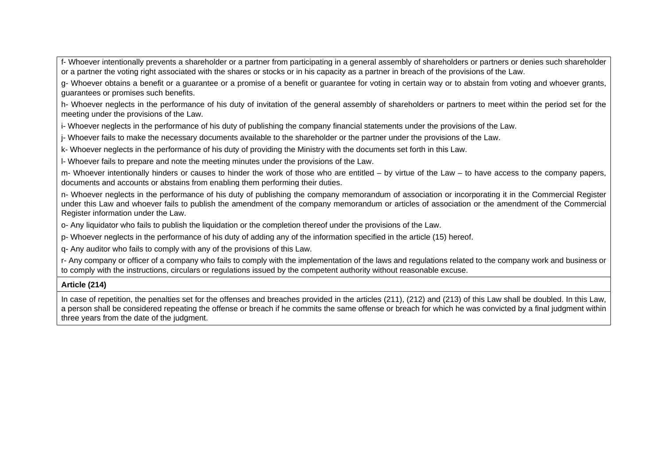f- Whoever intentionally prevents a shareholder or a partner from participating in a general assembly of shareholders or partners or denies such shareholder or a partner the voting right associated with the shares or stocks or in his capacity as a partner in breach of the provisions of the Law.

g- Whoever obtains a benefit or a guarantee or a promise of a benefit or guarantee for voting in certain way or to abstain from voting and whoever grants, guarantees or promises such benefits.

h- Whoever neglects in the performance of his duty of invitation of the general assembly of shareholders or partners to meet within the period set for the meeting under the provisions of the Law.

i- Whoever neglects in the performance of his duty of publishing the company financial statements under the provisions of the Law.

j- Whoever fails to make the necessary documents available to the shareholder or the partner under the provisions of the Law.

k- Whoever neglects in the performance of his duty of providing the Ministry with the documents set forth in this Law.

l- Whoever fails to prepare and note the meeting minutes under the provisions of the Law.

m- Whoever intentionally hinders or causes to hinder the work of those who are entitled – by virtue of the Law – to have access to the company papers, documents and accounts or abstains from enabling them performing their duties.

n- Whoever neglects in the performance of his duty of publishing the company memorandum of association or incorporating it in the Commercial Register under this Law and whoever fails to publish the amendment of the company memorandum or articles of association or the amendment of the Commercial Register information under the Law.

o- Any liquidator who fails to publish the liquidation or the completion thereof under the provisions of the Law.

p- Whoever neglects in the performance of his duty of adding any of the information specified in the article (15) hereof.

q- Any auditor who fails to comply with any of the provisions of this Law.

r- Any company or officer of a company who fails to comply with the implementation of the laws and regulations related to the company work and business or to comply with the instructions, circulars or regulations issued by the competent authority without reasonable excuse.

# **Article (214)**

In case of repetition, the penalties set for the offenses and breaches provided in the articles (211), (212) and (213) of this Law shall be doubled. In this Law, a person shall be considered repeating the offense or breach if he commits the same offense or breach for which he was convicted by a final judgment within three years from the date of the judgment.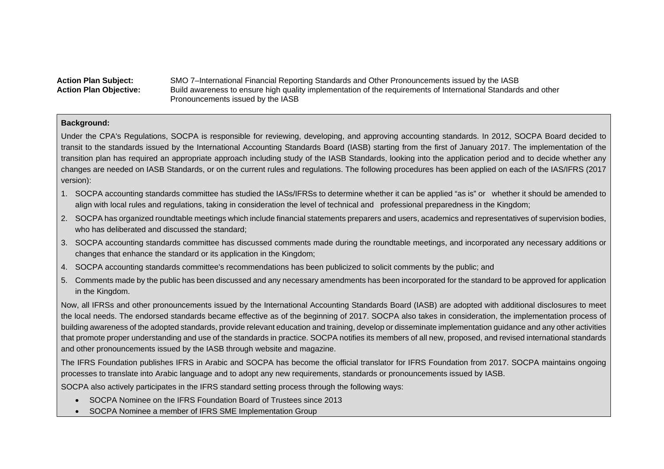#### Action Plan Subject: SMO 7–International Financial Reporting Standards and Other Pronouncements issued by the IASB<br>**Action Plan Objective:** Build awareness to ensure high quality implementation of the requirements of Inter Build awareness to ensure high quality implementation of the requirements of International Standards and other Pronouncements issued by the IASB

## **Background:**

Under the CPA's Regulations, SOCPA is responsible for reviewing, developing, and approving accounting standards. In 2012, SOCPA Board decided to transit to the standards issued by the International Accounting Standards Board (IASB) starting from the first of January 2017. The implementation of the transition plan has required an appropriate approach including study of the IASB Standards, looking into the application period and to decide whether any changes are needed on IASB Standards, or on the current rules and regulations. The following procedures has been applied on each of the IAS/IFRS (2017 version):

- 1. SOCPA accounting standards committee has studied the IASs/IFRSs to determine whether it can be applied "as is" or whether it should be amended to align with local rules and regulations, taking in consideration the level of technical and professional preparedness in the Kingdom;
- 2. SOCPA has organized roundtable meetings which include financial statements preparers and users, academics and representatives of supervision bodies, who has deliberated and discussed the standard;
- 3. SOCPA accounting standards committee has discussed comments made during the roundtable meetings, and incorporated any necessary additions or changes that enhance the standard or its application in the Kingdom;
- 4. SOCPA accounting standards committee's recommendations has been publicized to solicit comments by the public; and
- 5. Comments made by the public has been discussed and any necessary amendments has been incorporated for the standard to be approved for application in the Kingdom.

Now, all IFRSs and other pronouncements issued by the International Accounting Standards Board (IASB) are adopted with additional disclosures to meet the local needs. The endorsed standards became effective as of the beginning of 2017. SOCPA also takes in consideration, the implementation process of building awareness of the adopted standards, provide relevant education and training, develop or disseminate implementation guidance and any other activities that promote proper understanding and use of the standards in practice. SOCPA notifies its members of all new, proposed, and revised international standards and other pronouncements issued by the IASB through website and magazine.

The IFRS Foundation publishes IFRS in Arabic and SOCPA has become the official translator for IFRS Foundation from 2017. SOCPA maintains ongoing processes to translate into Arabic language and to adopt any new requirements, standards or pronouncements issued by IASB.

SOCPA also actively participates in the IFRS standard setting process through the following ways:

- SOCPA Nominee on the IFRS Foundation Board of Trustees since 2013
- SOCPA Nominee a member of IFRS SME Implementation Group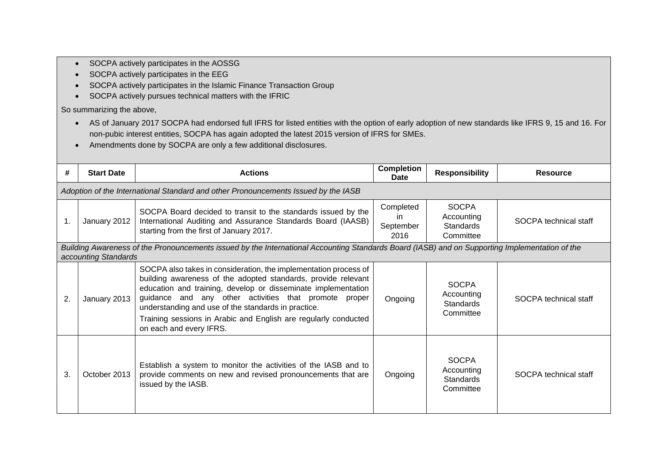- SOCPA actively participates in the AOSSG
- SOCPA actively participates in the EEG
- SOCPA actively participates in the Islamic Finance Transaction Group
- SOCPA actively pursues technical matters with the IFRIC

So summarizing the above,

- AS of January 2017 SOCPA had endorsed full IFRS for listed entities with the option of early adoption of new standards like IFRS 9, 15 and 16. For non-pubic interest entities, SOCPA has again adopted the latest 2015 version of IFRS for SMEs.
- Amendments done by SOCPA are only a few additional disclosures.

| #  | <b>Start Date</b>                                                                  | <b>Actions</b>                                                                                                                                                                                                                                                                                                                                                                                                   | Completion<br>Date                    | <b>Responsibility</b>                                       | <b>Resource</b>       |  |  |  |
|----|------------------------------------------------------------------------------------|------------------------------------------------------------------------------------------------------------------------------------------------------------------------------------------------------------------------------------------------------------------------------------------------------------------------------------------------------------------------------------------------------------------|---------------------------------------|-------------------------------------------------------------|-----------------------|--|--|--|
|    | Adoption of the International Standard and other Pronouncements Issued by the IASB |                                                                                                                                                                                                                                                                                                                                                                                                                  |                                       |                                                             |                       |  |  |  |
| 1. | January 2012                                                                       | SOCPA Board decided to transit to the standards issued by the<br>International Auditing and Assurance Standards Board (IAASB)<br>starting from the first of January 2017.                                                                                                                                                                                                                                        | Completed<br>in.<br>September<br>2016 | <b>SOCPA</b><br>Accounting<br><b>Standards</b><br>Committee | SOCPA technical staff |  |  |  |
|    | accounting Standards                                                               | Building Awareness of the Pronouncements issued by the International Accounting Standards Board (IASB) and on Supporting Implementation of the                                                                                                                                                                                                                                                                   |                                       |                                                             |                       |  |  |  |
| 2. | January 2013                                                                       | SOCPA also takes in consideration, the implementation process of<br>building awareness of the adopted standards, provide relevant<br>education and training, develop or disseminate implementation<br>guidance and any other activities that promote proper<br>understanding and use of the standards in practice.<br>Training sessions in Arabic and English are regularly conducted<br>on each and every IFRS. | Ongoing                               | <b>SOCPA</b><br>Accounting<br><b>Standards</b><br>Committee | SOCPA technical staff |  |  |  |
| 3. | October 2013                                                                       | Establish a system to monitor the activities of the IASB and to<br>provide comments on new and revised pronouncements that are<br>issued by the IASB.                                                                                                                                                                                                                                                            | Ongoing                               | <b>SOCPA</b><br>Accounting<br><b>Standards</b><br>Committee | SOCPA technical staff |  |  |  |